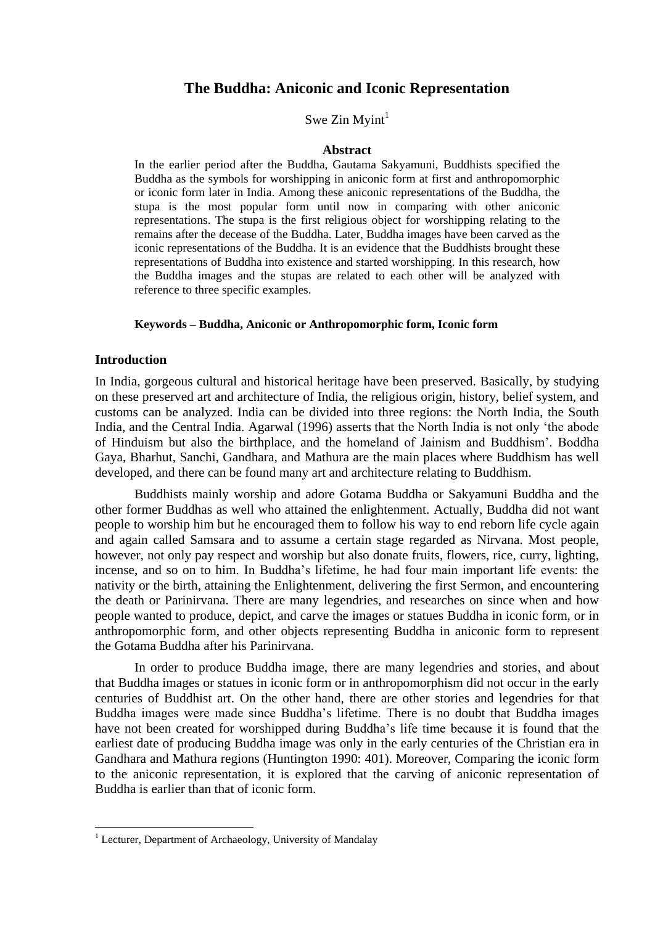# **The Buddha: Aniconic and Iconic Representation**

Swe Zin Myint $<sup>1</sup>$ </sup>

### **Abstract**

In the earlier period after the Buddha, Gautama Sakyamuni, Buddhists specified the Buddha as the symbols for worshipping in aniconic form at first and anthropomorphic or iconic form later in India. Among these aniconic representations of the Buddha, the stupa is the most popular form until now in comparing with other aniconic representations. The stupa is the first religious object for worshipping relating to the remains after the decease of the Buddha. Later, Buddha images have been carved as the iconic representations of the Buddha. It is an evidence that the Buddhists brought these representations of Buddha into existence and started worshipping. In this research, how the Buddha images and the stupas are related to each other will be analyzed with reference to three specific examples.

## **Keywords – Buddha, Aniconic or Anthropomorphic form, Iconic form**

## **Introduction**

 $\overline{a}$ 

In India, gorgeous cultural and historical heritage have been preserved. Basically, by studying on these preserved art and architecture of India, the religious origin, history, belief system, and customs can be analyzed. India can be divided into three regions: the North India, the South India, and the Central India. Agarwal (1996) asserts that the North India is not only "the abode of Hinduism but also the birthplace, and the homeland of Jainism and Buddhism". Boddha Gaya, Bharhut, Sanchi, Gandhara, and Mathura are the main places where Buddhism has well developed, and there can be found many art and architecture relating to Buddhism.

Buddhists mainly worship and adore Gotama Buddha or Sakyamuni Buddha and the other former Buddhas as well who attained the enlightenment. Actually, Buddha did not want people to worship him but he encouraged them to follow his way to end reborn life cycle again and again called Samsara and to assume a certain stage regarded as Nirvana. Most people, however, not only pay respect and worship but also donate fruits, flowers, rice, curry, lighting, incense, and so on to him. In Buddha"s lifetime, he had four main important life events: the nativity or the birth, attaining the Enlightenment, delivering the first Sermon, and encountering the death or Parinirvana. There are many legendries, and researches on since when and how people wanted to produce, depict, and carve the images or statues Buddha in iconic form, or in anthropomorphic form, and other objects representing Buddha in aniconic form to represent the Gotama Buddha after his Parinirvana.

In order to produce Buddha image, there are many legendries and stories, and about that Buddha images or statues in iconic form or in anthropomorphism did not occur in the early centuries of Buddhist art. On the other hand, there are other stories and legendries for that Buddha images were made since Buddha"s lifetime. There is no doubt that Buddha images have not been created for worshipped during Buddha"s life time because it is found that the earliest date of producing Buddha image was only in the early centuries of the Christian era in Gandhara and Mathura regions (Huntington 1990: 401). Moreover, Comparing the iconic form to the aniconic representation, it is explored that the carving of aniconic representation of Buddha is earlier than that of iconic form.

<sup>&</sup>lt;sup>1</sup> Lecturer, Department of Archaeology, University of Mandalay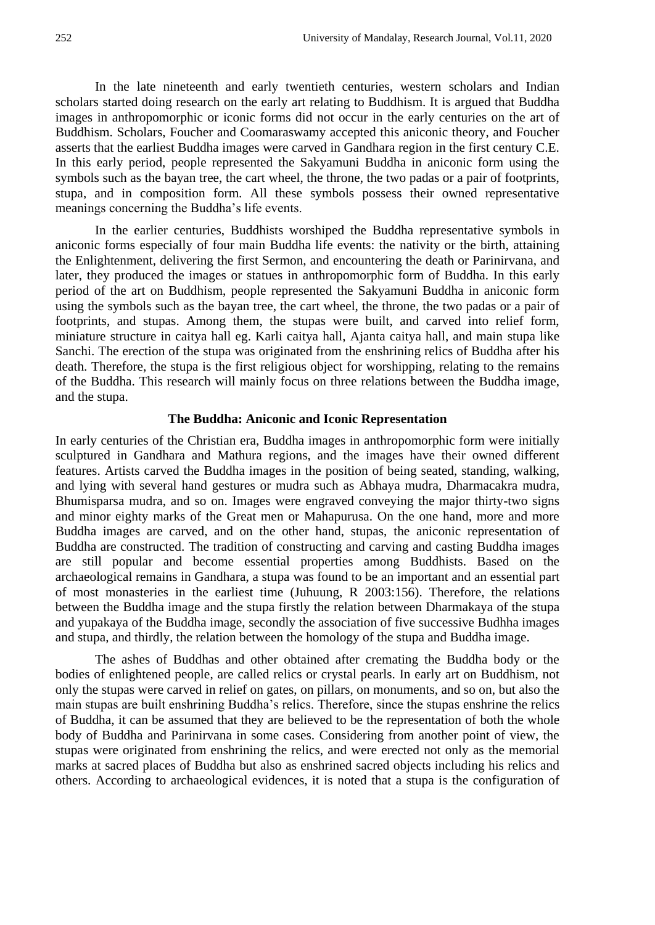In the late nineteenth and early twentieth centuries, western scholars and Indian scholars started doing research on the early art relating to Buddhism. It is argued that Buddha images in anthropomorphic or iconic forms did not occur in the early centuries on the art of Buddhism. Scholars, Foucher and Coomaraswamy accepted this aniconic theory, and Foucher asserts that the earliest Buddha images were carved in Gandhara region in the first century C.E. In this early period, people represented the Sakyamuni Buddha in aniconic form using the symbols such as the bayan tree, the cart wheel, the throne, the two padas or a pair of footprints, stupa, and in composition form. All these symbols possess their owned representative meanings concerning the Buddha"s life events.

In the earlier centuries, Buddhists worshiped the Buddha representative symbols in aniconic forms especially of four main Buddha life events: the nativity or the birth, attaining the Enlightenment, delivering the first Sermon, and encountering the death or Parinirvana, and later, they produced the images or statues in anthropomorphic form of Buddha. In this early period of the art on Buddhism, people represented the Sakyamuni Buddha in aniconic form using the symbols such as the bayan tree, the cart wheel, the throne, the two padas or a pair of footprints, and stupas. Among them, the stupas were built, and carved into relief form, miniature structure in caitya hall eg. Karli caitya hall, Ajanta caitya hall, and main stupa like Sanchi. The erection of the stupa was originated from the enshrining relics of Buddha after his death. Therefore, the stupa is the first religious object for worshipping, relating to the remains of the Buddha. This research will mainly focus on three relations between the Buddha image, and the stupa.

## **The Buddha: Aniconic and Iconic Representation**

In early centuries of the Christian era, Buddha images in anthropomorphic form were initially sculptured in Gandhara and Mathura regions, and the images have their owned different features. Artists carved the Buddha images in the position of being seated, standing, walking, and lying with several hand gestures or mudra such as Abhaya mudra, Dharmacakra mudra, Bhumisparsa mudra, and so on. Images were engraved conveying the major thirty-two signs and minor eighty marks of the Great men or Mahapurusa. On the one hand, more and more Buddha images are carved, and on the other hand, stupas, the aniconic representation of Buddha are constructed. The tradition of constructing and carving and casting Buddha images are still popular and become essential properties among Buddhists. Based on the archaeological remains in Gandhara, a stupa was found to be an important and an essential part of most monasteries in the earliest time (Juhuung, R 2003:156). Therefore, the relations between the Buddha image and the stupa firstly the relation between Dharmakaya of the stupa and yupakaya of the Buddha image, secondly the association of five successive Budhha images and stupa, and thirdly, the relation between the homology of the stupa and Buddha image.

The ashes of Buddhas and other obtained after cremating the Buddha body or the bodies of enlightened people, are called relics or crystal pearls. In early art on Buddhism, not only the stupas were carved in relief on gates, on pillars, on monuments, and so on, but also the main stupas are built enshrining Buddha"s relics. Therefore, since the stupas enshrine the relics of Buddha, it can be assumed that they are believed to be the representation of both the whole body of Buddha and Parinirvana in some cases. Considering from another point of view, the stupas were originated from enshrining the relics, and were erected not only as the memorial marks at sacred places of Buddha but also as enshrined sacred objects including his relics and others. According to archaeological evidences, it is noted that a stupa is the configuration of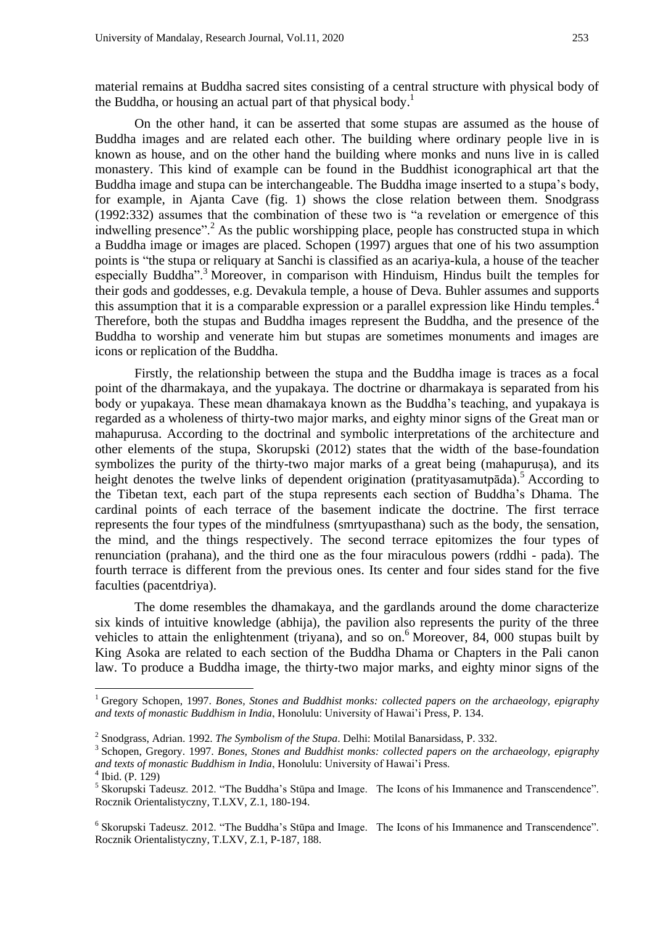material remains at Buddha sacred sites consisting of a central structure with physical body of the Buddha, or housing an actual part of that physical body.<sup>1</sup>

On the other hand, it can be asserted that some stupas are assumed as the house of Buddha images and are related each other. The building where ordinary people live in is known as house, and on the other hand the building where monks and nuns live in is called monastery. This kind of example can be found in the Buddhist iconographical art that the Buddha image and stupa can be interchangeable. The Buddha image inserted to a stupa"s body, for example, in Ajanta Cave (fig. 1) shows the close relation between them. Snodgrass (1992:332) assumes that the combination of these two is "a revelation or emergence of this indwelling presence".<sup>2</sup> As the public worshipping place, people has constructed stupa in which a Buddha image or images are placed. Schopen (1997) argues that one of his two assumption points is "the stupa or reliquary at Sanchi is classified as an acariya-kula, a house of the teacher especially Buddha".<sup>3</sup> Moreover, in comparison with Hinduism, Hindus built the temples for their gods and goddesses, e.g. Devakula temple, a house of Deva. Buhler assumes and supports this assumption that it is a comparable expression or a parallel expression like Hindu temples.<sup>4</sup> Therefore, both the stupas and Buddha images represent the Buddha, and the presence of the Buddha to worship and venerate him but stupas are sometimes monuments and images are icons or replication of the Buddha.

Firstly, the relationship between the stupa and the Buddha image is traces as a focal point of the dharmakaya, and the yupakaya. The doctrine or dharmakaya is separated from his body or yupakaya. These mean dhamakaya known as the Buddha"s teaching, and yupakaya is regarded as a wholeness of thirty-two major marks, and eighty minor signs of the Great man or mahapurusa. According to the doctrinal and symbolic interpretations of the architecture and other elements of the stupa, Skorupski (2012) states that the width of the base-foundation symbolizes the purity of the thirty-two major marks of a great being (mahapurusa), and its height denotes the twelve links of dependent origination (pratityasamutp $\bar{a}da$ ).<sup>5</sup> According to the Tibetan text, each part of the stupa represents each section of Buddha"s Dhama. The cardinal points of each terrace of the basement indicate the doctrine. The first terrace represents the four types of the mindfulness (smrtyupasthana) such as the body, the sensation, the mind, and the things respectively. The second terrace epitomizes the four types of renunciation (prahana), and the third one as the four miraculous powers (rddhi - pada). The fourth terrace is different from the previous ones. Its center and four sides stand for the five faculties (pacentdriya).

The dome resembles the dhamakaya, and the gardlands around the dome characterize six kinds of intuitive knowledge (abhija), the pavilion also represents the purity of the three vehicles to attain the enlightenment (triyana), and so on. <sup>6</sup> Moreover, 84, 000 stupas built by King Asoka are related to each section of the Buddha Dhama or Chapters in the Pali canon law. To produce a Buddha image, the thirty-two major marks, and eighty minor signs of the

 $\overline{a}$ 

<sup>1</sup> Gregory Schopen, 1997. *Bones, Stones and Buddhist monks: collected papers on the archaeology, epigraphy and texts of monastic Buddhism in India*, Honolulu: University of Hawai"i Press, P. 134.

<sup>2</sup> Snodgrass, Adrian. 1992. *The Symbolism of the Stupa*. Delhi: Motilal Banarsidass, P. 332.

<sup>3</sup> Schopen, Gregory. 1997. *Bones, Stones and Buddhist monks: collected papers on the archaeology, epigraphy and texts of monastic Buddhism in India*, Honolulu: University of Hawai"i Press.

<sup>4</sup> Ibid. (P. 129)

 $<sup>5</sup>$  Skorupski Tadeusz. 2012. "The Buddha's Stūpa and Image. The Icons of his Immanence and Transcendence".</sup> Rocznik Orientalistyczny, T.LXV, Z.1, 180-194.

<sup>&</sup>lt;sup>6</sup> Skorupski Tadeusz. 2012. "The Buddha's Stūpa and Image. The Icons of his Immanence and Transcendence". Rocznik Orientalistyczny, T.LXV, Z.1, P-187, 188.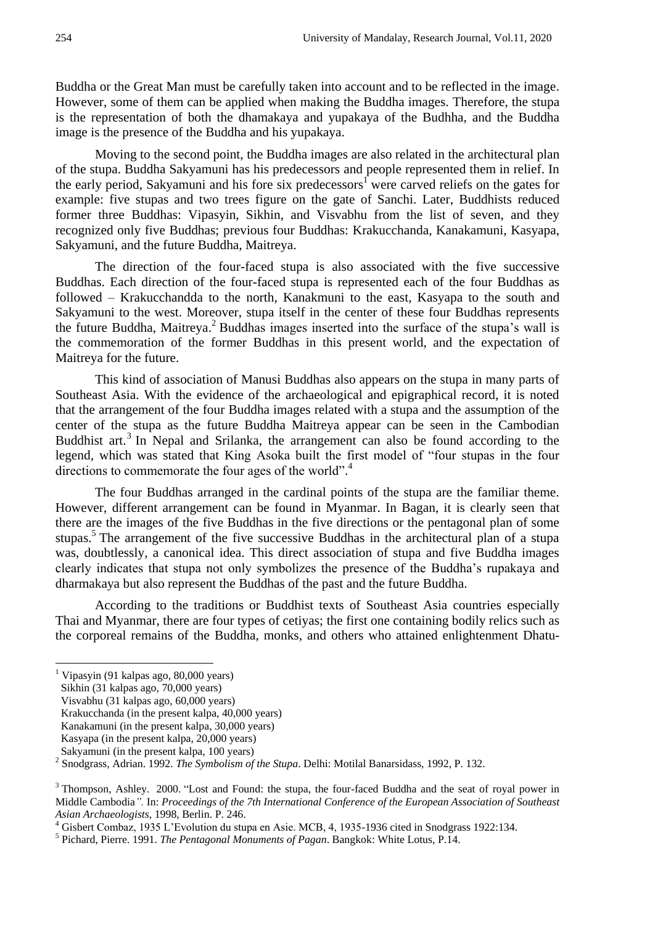Buddha or the Great Man must be carefully taken into account and to be reflected in the image. However, some of them can be applied when making the Buddha images. Therefore, the stupa is the representation of both the dhamakaya and yupakaya of the Budhha, and the Buddha image is the presence of the Buddha and his yupakaya.

Moving to the second point, the Buddha images are also related in the architectural plan of the stupa. Buddha Sakyamuni has his predecessors and people represented them in relief. In the early period, Sakyamuni and his fore six predecessors<sup>1</sup> were carved reliefs on the gates for example: five stupas and two trees figure on the gate of Sanchi. Later, Buddhists reduced former three Buddhas: Vipasyin, Sikhin, and Visvabhu from the list of seven, and they recognized only five Buddhas; previous four Buddhas: Krakucchanda, Kanakamuni, Kasyapa, Sakyamuni, and the future Buddha, Maitreya.

The direction of the four-faced stupa is also associated with the five successive Buddhas. Each direction of the four-faced stupa is represented each of the four Buddhas as followed – Krakucchandda to the north, Kanakmuni to the east, Kasyapa to the south and Sakyamuni to the west. Moreover, stupa itself in the center of these four Buddhas represents the future Buddha, Maitreya.<sup>2</sup> Buddhas images inserted into the surface of the stupa's wall is the commemoration of the former Buddhas in this present world, and the expectation of Maitreya for the future.

This kind of association of Manusi Buddhas also appears on the stupa in many parts of Southeast Asia. With the evidence of the archaeological and epigraphical record, it is noted that the arrangement of the four Buddha images related with a stupa and the assumption of the center of the stupa as the future Buddha Maitreya appear can be seen in the Cambodian Buddhist art.<sup>3</sup> In Nepal and Srilanka, the arrangement can also be found according to the legend, which was stated that King Asoka built the first model of "four stupas in the four directions to commemorate the four ages of the world".<sup>4</sup>

The four Buddhas arranged in the cardinal points of the stupa are the familiar theme. However, different arrangement can be found in Myanmar. In Bagan, it is clearly seen that there are the images of the five Buddhas in the five directions or the pentagonal plan of some stupas.<sup>5</sup> The arrangement of the five successive Buddhas in the architectural plan of a stupa was, doubtlessly, a canonical idea. This direct association of stupa and five Buddha images clearly indicates that stupa not only symbolizes the presence of the Buddha"s rupakaya and dharmakaya but also represent the Buddhas of the past and the future Buddha.

According to the traditions or Buddhist texts of Southeast Asia countries especially Thai and Myanmar, there are four types of cetiyas; the first one containing bodily relics such as the corporeal remains of the Buddha, monks, and others who attained enlightenment Dhatu-

 $\overline{a}$ 

 $<sup>1</sup>$  Vipasyin (91 kalpas ago, 80,000 years)</sup>

Sikhin (31 kalpas ago, 70,000 years)

Visvabhu (31 kalpas ago, 60,000 years)

Krakucchanda (in the present kalpa, 40,000 years)

Kanakamuni (in the present kalpa, 30,000 years)

Kasyapa (in the present kalpa, 20,000 years)

Sakyamuni (in the present kalpa, 100 years)

<sup>2</sup> Snodgrass, Adrian. 1992. *The Symbolism of the Stupa*. Delhi: Motilal Banarsidass, 1992, P. 132.

<sup>&</sup>lt;sup>3</sup> Thompson, Ashley. 2000. "Lost and Found: the stupa, the four-faced Buddha and the seat of royal power in Middle Cambodia*".* In: *Proceedings of the 7th International Conference of the European Association of Southeast Asian Archaeologists*, 1998, Berlin. P. 246.

<sup>&</sup>lt;sup>4</sup> Gisbert Combaz, 1935 L'Evolution du stupa en Asie. MCB, 4, 1935-1936 cited in Snodgrass 1922:134.

<sup>5</sup> Pichard, Pierre. 1991. *The Pentagonal Monuments of Pagan*. Bangkok: White Lotus, P.14.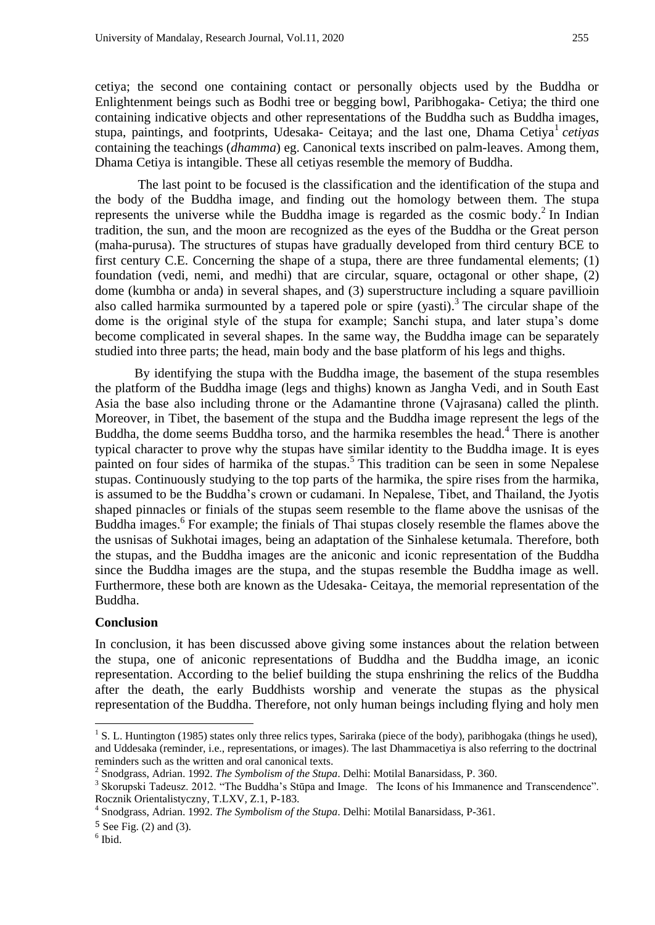cetiya; the second one containing contact or personally objects used by the Buddha or Enlightenment beings such as Bodhi tree or begging bowl, Paribhogaka- Cetiya; the third one containing indicative objects and other representations of the Buddha such as Buddha images, stupa, paintings, and footprints, Udesaka- Ceitaya; and the last one, Dhama Cetiya<sup>1</sup> cetiyas containing the teachings (*dhamma*) eg. Canonical texts inscribed on palm-leaves. Among them, Dhama Cetiya is intangible. These all cetiyas resemble the memory of Buddha.

The last point to be focused is the classification and the identification of the stupa and the body of the Buddha image, and finding out the homology between them. The stupa represents the universe while the Buddha image is regarded as the cosmic body. 2 In Indian tradition, the sun, and the moon are recognized as the eyes of the Buddha or the Great person (maha-purusa). The structures of stupas have gradually developed from third century BCE to first century C.E. Concerning the shape of a stupa, there are three fundamental elements; (1) foundation (vedi, nemi, and medhi) that are circular, square, octagonal or other shape, (2) dome (kumbha or anda) in several shapes, and (3) superstructure including a square pavillioin also called harmika surmounted by a tapered pole or spire (yasti). 3 The circular shape of the dome is the original style of the stupa for example; Sanchi stupa, and later stupa's dome become complicated in several shapes. In the same way, the Buddha image can be separately studied into three parts; the head, main body and the base platform of his legs and thighs.

By identifying the stupa with the Buddha image, the basement of the stupa resembles the platform of the Buddha image (legs and thighs) known as Jangha Vedi, and in South East Asia the base also including throne or the Adamantine throne (Vajrasana) called the plinth. Moreover, in Tibet, the basement of the stupa and the Buddha image represent the legs of the Buddha, the dome seems Buddha torso, and the harmika resembles the head. 4 There is another typical character to prove why the stupas have similar identity to the Buddha image. It is eyes painted on four sides of harmika of the stupas.<sup>5</sup> This tradition can be seen in some Nepalese stupas. Continuously studying to the top parts of the harmika, the spire rises from the harmika, is assumed to be the Buddha"s crown or cudamani. In Nepalese, Tibet, and Thailand, the Jyotis shaped pinnacles or finials of the stupas seem resemble to the flame above the usnisas of the Buddha images.<sup>6</sup> For example; the finials of Thai stupas closely resemble the flames above the the usnisas of Sukhotai images, being an adaptation of the Sinhalese ketumala. Therefore, both the stupas, and the Buddha images are the aniconic and iconic representation of the Buddha since the Buddha images are the stupa, and the stupas resemble the Buddha image as well. Furthermore, these both are known as the Udesaka- Ceitaya, the memorial representation of the Buddha.

#### **Conclusion**

In conclusion, it has been discussed above giving some instances about the relation between the stupa, one of aniconic representations of Buddha and the Buddha image, an iconic representation. According to the belief building the stupa enshrining the relics of the Buddha after the death, the early Buddhists worship and venerate the stupas as the physical representation of the Buddha. Therefore, not only human beings including flying and holy men

 $\overline{a}$ 

<sup>&</sup>lt;sup>1</sup> S. L. Huntington (1985) states only three relics types, Sariraka (piece of the body), paribhogaka (things he used), and Uddesaka (reminder, i.e., representations, or images). The last Dhammacetiya is also referring to the doctrinal reminders such as the written and oral canonical texts.

<sup>2</sup> Snodgrass, Adrian. 1992. *The Symbolism of the Stupa*. Delhi: Motilal Banarsidass, P. 360.

<sup>&</sup>lt;sup>3</sup> Skorupski Tadeusz. 2012. "The Buddha's Stūpa and Image. The Icons of his Immanence and Transcendence". Rocznik Orientalistyczny, T.LXV, Z.1, P-183.

<sup>4</sup> Snodgrass, Adrian. 1992. *The Symbolism of the Stupa*. Delhi: Motilal Banarsidass, P-361.

<sup>5</sup> See Fig. (2) and (3).

<sup>6</sup> Ibid.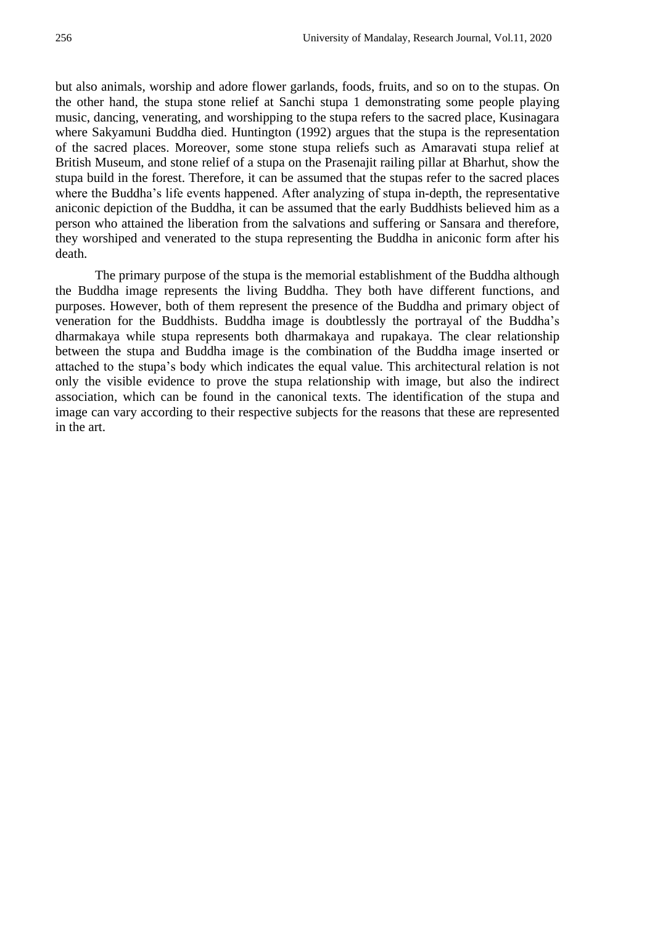but also animals, worship and adore flower garlands, foods, fruits, and so on to the stupas. On the other hand, the stupa stone relief at Sanchi stupa 1 demonstrating some people playing music, dancing, venerating, and worshipping to the stupa refers to the sacred place, Kusinagara where Sakyamuni Buddha died. Huntington (1992) argues that the stupa is the representation of the sacred places. Moreover, some stone stupa reliefs such as Amaravati stupa relief at British Museum, and stone relief of a stupa on the Prasenajit railing pillar at Bharhut, show the stupa build in the forest. Therefore, it can be assumed that the stupas refer to the sacred places where the Buddha's life events happened. After analyzing of stupa in-depth, the representative aniconic depiction of the Buddha, it can be assumed that the early Buddhists believed him as a person who attained the liberation from the salvations and suffering or Sansara and therefore, they worshiped and venerated to the stupa representing the Buddha in aniconic form after his death.

The primary purpose of the stupa is the memorial establishment of the Buddha although the Buddha image represents the living Buddha. They both have different functions, and purposes. However, both of them represent the presence of the Buddha and primary object of veneration for the Buddhists. Buddha image is doubtlessly the portrayal of the Buddha"s dharmakaya while stupa represents both dharmakaya and rupakaya. The clear relationship between the stupa and Buddha image is the combination of the Buddha image inserted or attached to the stupa"s body which indicates the equal value. This architectural relation is not only the visible evidence to prove the stupa relationship with image, but also the indirect association, which can be found in the canonical texts. The identification of the stupa and image can vary according to their respective subjects for the reasons that these are represented in the art.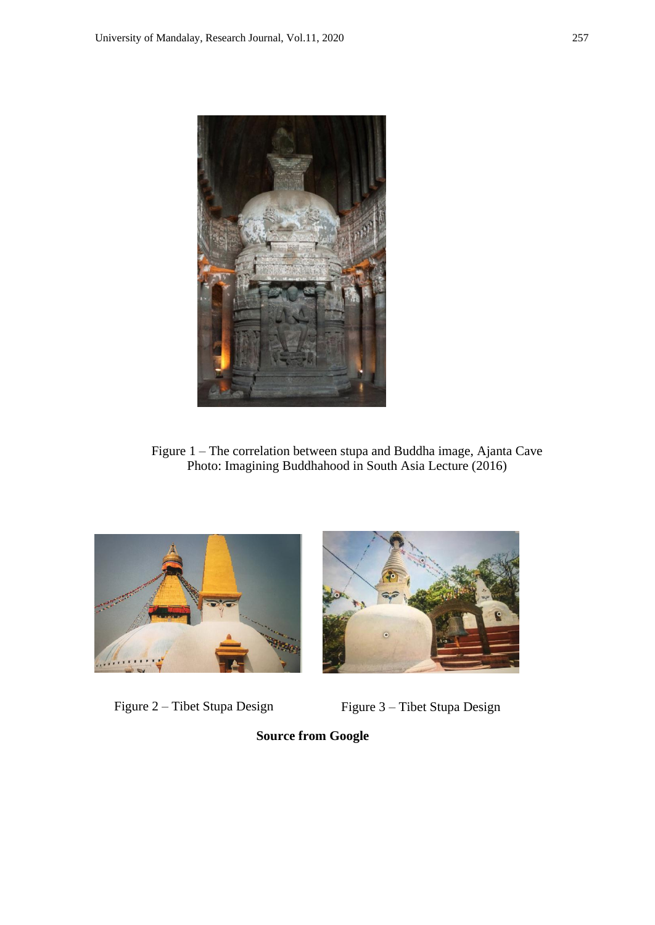

Figure 1 – The correlation between stupa and Buddha image, Ajanta Cave Photo: Imagining Buddhahood in South Asia Lecture (2016)





Figure 2 – Tibet Stupa Design Figure 3 – Tibet Stupa Design

**Source from Google**